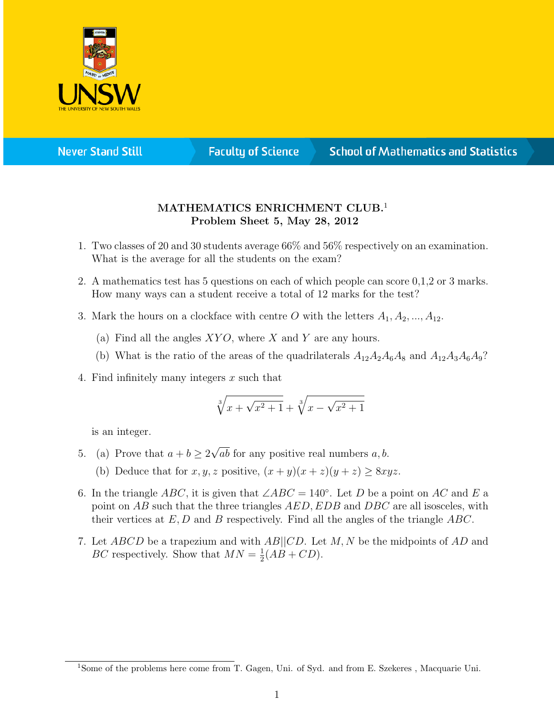

**Never Stand Still** 

**Faculty of Science** 

## **School of Mathematics and Statistics**

## MATHEMATICS ENRICHMENT CLUB.<sup>1</sup> Problem Sheet 5, May 28, 2012

- 1. Two classes of 20 and 30 students average 66% and 56% respectively on an examination. What is the average for all the students on the exam?
- 2. A mathematics test has 5 questions on each of which people can score 0,1,2 or 3 marks. How many ways can a student receive a total of 12 marks for the test?
- 3. Mark the hours on a clockface with centre O with the letters  $A_1, A_2, ..., A_{12}$ .
	- (a) Find all the angles  $XYO$ , where X and Y are any hours.
	- (b) What is the ratio of the areas of the quadrilaterals  $A_{12}A_2A_6A_8$  and  $A_{12}A_3A_6A_9$ ?
- 4. Find infinitely many integers  $x$  such that

$$
\sqrt[3]{x + \sqrt{x^2 + 1}} + \sqrt[3]{x - \sqrt{x^2 + 1}}
$$

is an integer.

- 5. (a) Prove that  $a + b \geq 2$ √ ab for any positive real numbers  $a, b$ .
	- (b) Deduce that for  $x, y, z$  positive,  $(x + y)(x + z)(y + z) \geq 8xyz$ .
- 6. In the triangle ABC, it is given that  $\angle ABC = 140^\circ$ . Let D be a point on AC and E a point on AB such that the three triangles AED, EDB and DBC are all isosceles, with their vertices at  $E, D$  and B respectively. Find all the angles of the triangle  $ABC$ .
- 7. Let ABCD be a trapezium and with AB||CD. Let M, N be the midpoints of AD and BC respectively. Show that  $MN = \frac{1}{2}$  $\frac{1}{2}(AB + CD).$

<sup>1</sup>Some of the problems here come from T. Gagen, Uni. of Syd. and from E. Szekeres , Macquarie Uni.